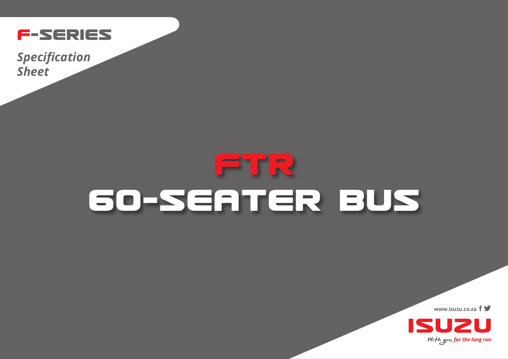

**Specification Sheet** 

## ETR 60-SEATER BUS

www.isuzu.co.za  $f \blacktriangleright$